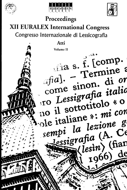





# Proceedings

# **XII EURALEX International Congress**

Congresso Internazionale di Lessicografia

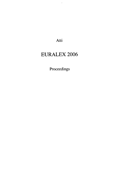Atti

 $\ddot{\phantom{0}}$ 

## EURALEX 2006

Proceedings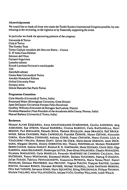#### **Aknowledgements**

**We would like to thank all those who made the Twelth Euralex International Congress possible, by contributing to the reviewing, to the logistics or by financially supporting the event.**

**In particular we thank the sponsoring partners of the congress:**

**Università di Torino Città di Torino The Hornby Trust Torino Capitale mondiale del libro con Roma - Unesco G. D'Anna Casa Editrice Edizioni dell'Orso Garzanti linguistica Loescher editore Rizzoli Larousse Dizionari e enciclopedie Utet Zanichelli editore Centro Rete Università di Torino Arnoldo Mondadori Editore Oxford University Press Synapsy onlus Istituto Bancario San Paolo Torino**

#### **Programme Committee**

**Carla Marcilo (Università di Torino, Italia) Rosamund Moon (Birmingham University, Great Britain) Janet DcCesaris (Universität Pompeu Fabra Barcelona) Geoffrey Williams (Université de Bretagne Sud Lorient, France) Nicoletta Maraschio (Vice-President of the Accademia della Crusca, Firenze, Italia) Manuel Barbera (Università di Torino, Italia)**

#### **Reviewers**

**Manuel ALVAR EZQUERRA, Anna ANASTASSIADIS-SYMÉONIDIS, Cecilia ANDORNO, J0rg ASMUSSEN, Sue ATKINS, Manuel BARBERA, Cristina BAREGGI, Carla BAZZANELLA, Henri BEJOINT, Paul BOGAARDS, Edoardo BONA, Pierrette BOUILLON. Anna BRAASCH, Ralf BROCK-MEIER, Sabina CANOBBIO, Nadia CAPRIOCLIO, František CERMÂK, Matteo CESTARI, Alessandra CORDA, Marie-Hélène CORREARD, Anthony COWIE, Franco CREVATIN, Marco CUGNO, Llufs de YZACUIRRE <sup>I</sup> MAURA, Roberto DAPIT, Sylvie DE COCK, Marie-Jeanne DEROUIN, Janet DECE-SARIS, Margaret DEUTER, Dmitrij DOBROVOL'SKI, Thierry FONTENELLE, Michele FOURMENT BERNICANANI, Andrew IlARLEY, Reinhart R. K. HARTMANN, Marie IIEDIARD, Ulrich IIEID, Olga KARPOVA, Adam KILGARRIFF, Dominique LE FUR, Sven-Göran MALMGREN, Claudio MARAZZINI, Nicoletta MARASCHIO, Carla MARELLO, Fernando MARTINEZ DE CARNERO CALZADA, Don MCCREARY, Franco MONTANARI, Rosamund MOON, Stefania NUCCORINI, Pádraig Ó RIAGÂIN, Julian PARISH, Fabrizio PENNACCHIETTI, Krassimira PETROVA, Maria Teresa PRAT, Daniel PRINSLOO, Germano PROVERBIO, Jean PRUVOST, Virginia PULCINI, Francois RASTIER, Luciano ROCCHI, Giovanni RONCO, Giovanni ROVERE, Michael RUNDELL, Julián SANTANO MORENO, Félix SAN VICENTE, Salvatore SGROI. Mario SQUARTINI, Erling STRUDSHOLM, Philippe THOIRON, Michele VALLARO, Aline VILLAVICENCIO, Julijana VUČO, Geoffrey WILLIAMS, Judith WILLIS.**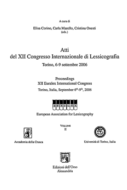#### A cura di

#### Elisa Conno, Carla Marcilo, Cristina Onesti (eds.)

## Atti del XII Congresso Internazionale di Lessicografia Torino, 6-9 settembre 2006

### Proceedings XII Euralex International Congress Torino, Italia, September 6<sup>th</sup>-9<sup>th</sup>, 2006



European Association for Lexicography



Accademia della Crusca

VOLUME II



Università di Torino, Italia



Edizioni dell'Orso Alessandria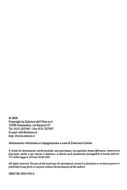©2006 Copyright by Edizioni dell'Orso s.r.l. 15100 Alessandria, via Rattazzi 47 Tel. 0131.252349 - Fax 0131.257567 E-mail: info@ediorso.it http: //www.ediorso.it

Allestimento informatico e impaginazione a cura di Francesca Cattina

*È vietata la riproduzione, anche parziale, non autorizzata, con qualsiasi mezzo effettuata, compresa la fotocopia, anche a uso interno e didattico. L'illecito sarà penalmente perseguibile a norma dell'art. 171 della Ugge n. 633 del 22.04.1941*

All rights reserved. No part of this book may be reproduced, stored in a database or retrieval system or *published in any form or anyway without the permission of the authors.* 

ISBN 88-7694-918-6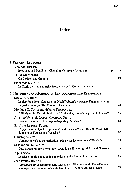#### *Index*

## **Index**

| <b>1. PLENARY LECTURES</b>                                                                                                                        |    |    |
|---------------------------------------------------------------------------------------------------------------------------------------------------|----|----|
| <b>Jean AITCHINSON</b><br>Headlines and Deadlines: Changing Newspaper Language                                                                    | p. | 3  |
| Tullio DE MAURO<br>On Lexicon and Grammar                                                                                                         |    | 19 |
| <b>Francesco SABATINI</b><br>La Storia dell'Italiano nella Prospettiva della Corpus Linguistics                                                   |    | 31 |
| 2. Historical and Scholarly Lexicography and Etymology                                                                                            |    |    |
| Silvia CACCHIANI                                                                                                                                  |    |    |
| Lexico-Functional Categories in Noah Webster's American Dictionary of the<br>English Language: The Case of Intensifiers                           |    | 41 |
| Monique C. CORMIER, Heberto FERNANDEZ<br>A Study of the Outside Matter in 17th-Century French-English Dictionaries                                |    | 49 |
| Américo Venâncio LOPES MACHADO FILHO<br>Para um dicionário etimológico do português arcaico                                                       |    | 61 |
| Sandrine REBOUL-TOURÉ<br>L'hyperonymie: Quelle représentation de la science dans les éditions du Dic-<br>tionnaire de l'Académie française?       |    | 65 |
| Christophe REY                                                                                                                                    |    |    |
| L'émergence d'une thématisation lexicale sur les sons au XVIIIe siècle                                                                            |    | 71 |
| Susanne SALMON-ALT<br>Data Structures for Etymology: towards an Etymological Lexical Network                                                      |    | 79 |
| Agata ŠEGA<br>Lessico etimologico di latinismi e di romanismi antichi in sloveno                                                                  |    | 89 |
| João Paulo SILVESTRE                                                                                                                              |    |    |
| A recepção do Vocabolario della Crusca e do Dictionnaire de l'Académie na<br>lexicografia portuguesa: o Vocabulario (1712-1728) de Rafael Bluteau |    | 97 |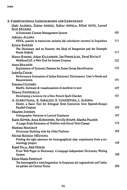| 3. COMPUTATIONAL LEXICOGRAPHY AND LEXICOLOGY                                                                                                        |     |
|-----------------------------------------------------------------------------------------------------------------------------------------------------|-----|
| Iñaki ALEGRIA, Xabier ARREGI, Xabier ARTOLA, Mikel ASTIZ, Leonel<br><b>RUIZ MIYARES</b>                                                             | 105 |
| A Dictionary Content Management System                                                                                                              |     |
| <b>Adriano ALLORA</b><br>NETS, quando la traduzione assistita dal calcolatore incontra la linguistica                                               | 111 |
| <b>Kristin BAKKEN</b><br>The Dictionary and its Sources: the Ideal of Integration and the Example<br>Norsk Ordbok                                   | 117 |
| Marco BARONI, Adam KILGARRIFF, Jan POMIKÁLEK, Pavel RYCHLÝ<br>WebBootCaT: a Web Tool for Instant Corpora                                            | 123 |
| <b>Anna BRAASCH</b>                                                                                                                                 |     |
| Exploitation of Syntactic Patterns for Sense Group Identification                                                                                   | 133 |
| Isabella CHIARI<br>Performance Evaluation of Italian Electronic Dictionaries: User's Needs and<br>Requirements                                      | 141 |
| Simona COLOMBO<br>MorFo. Sortware di visualizzazione di morfemi in testi                                                                            | 147 |
| Thierry FONTENELLE<br>Developing a Lexicon for a New French Spell-Checker                                                                           | 151 |
| A. GURRUTXAGA, X. SARALEGI, S. UGARTETXEA, I. ALEGRIA<br>Elexbi, a Basic Tool for Bilingual Term Extraction from Spanish-Basque<br>Parallel Corpora | 159 |
| <b>Maarten JANSSEN</b>                                                                                                                              |     |
| Orthographic Variation in Lexical Databases                                                                                                         | 167 |
| Karin KIPPER, Anna KORHONEN, Neville RYANT, Martha PALMER<br>A Large-Scale Extension of VerbNet with Novel Verb Classes                             | 173 |
| Mathieu MANGEOT<br>Dictionary Building with the Jibiki Platform                                                                                     | 185 |
| Michal Boleslav MĚCHURA                                                                                                                             |     |
| Finding the right structure for lexicographical data: experiences from a ter-<br>minology project                                                   | 189 |
| Karel PALA, Aleš HORÁK<br>From Web Pages to Dictionary: a Languge-Independent Dictionary Writing<br>System                                          | 199 |
| Elena Maria PANDOLFI                                                                                                                                |     |
| Tra lessicografia e sociolinguistica: la frequenza dei regionalismi nell'italia-<br>no parlato nel Canton Ticino                                    | 205 |
|                                                                                                                                                     |     |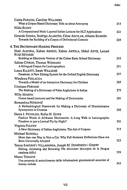| Carita PARADIS, Caroline WILLNERS<br>What a Corpus-Based Dictionary Tells us about Antonymy                                          | 213 |
|--------------------------------------------------------------------------------------------------------------------------------------|-----|
| Nilda RUIMY                                                                                                                          |     |
| A Computational Multi-Layered Italian Lexicon for HLT Applications                                                                   | 221 |
|                                                                                                                                      |     |
| Gerardo SIERRA, Rodrigo ALARCÓN, César AGUILAR, Alberto BARRÓN<br>Towards the Building of a Corpus of Definitional Contexts          | 229 |
| <b>4. THE DICTIONARY-MAKING PROCESS</b>                                                                                              |     |
| Iñaki ALEGRIA, Xabier ARREGI, Xabier ARTOLA, Mikel ASTIZ, Leonel<br><b>RUIZ MIYARES</b>                                              |     |
| Building an Electronic Version of the Cuban Basic School Dictionary                                                                  | 243 |
| Sabine CITRON, Thomas WIDMANN                                                                                                        |     |
| A Bilingual Corpus for Lexicographers                                                                                                | 251 |
| Laura ELLIOTT, Sarah WILLIAMS                                                                                                        |     |
| Pasadena: A New Editing System for the Oxford English Dictionary                                                                     | 257 |
| Wiesława FERLACKA                                                                                                                    |     |
| Towards a Model of an Interactive Dictionary for Children                                                                            | 265 |
| Cristiano FURIASSI                                                                                                                   |     |
| The Making of a Dictionary of False Anglicisms in Italian                                                                            | 273 |
| Willy MARTIN                                                                                                                         |     |
| Frame-based Lexicons and the Making of Dictionaries                                                                                  | 281 |
| Bernardina PETROVIĆ                                                                                                                  |     |
| A Methodological Framework for Making a Dictionary of Discriminative<br>Synonymies in Croatian                                       | 295 |
| Danie J. PRINSLOO, Rufus H. GOWS                                                                                                     |     |
| Fashion Words in Afrikaans Dictionaries: A Long Walk to Lexicographic<br>Freedom or just a Lexical Fly-by-Night?                     | 301 |
|                                                                                                                                      |     |
| Virginia PULCINI                                                                                                                     | 313 |
| A New Dictionary of Italian Anglicisms: The Aid of Corpora                                                                           |     |
| <b>Michael RUNDELL</b><br>More than one Way to Skin a Cat: Why Full-Sentence Definitions Have not<br><b>Been Universally Adopted</b> | 323 |
| Teresa SADURNÍ i VILLARONGA, Joseph M. DOMÈNECH i GIBERT                                                                             |     |
| Editing, Accessing and Browsing The diccionari descriptiu de la llengua<br>catalana (ddlc)                                           | 339 |
| Marco TOMATIS                                                                                                                        |     |
| Una proposta di arricchimento delle informazioni grammaticali associate al<br>lemma verbale                                          | 343 |
|                                                                                                                                      |     |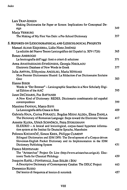| <b>Lars TRAP-JENSEN</b><br>Making Dictionaries for Paper or Screen: Implications for Conceptual De-                                                                                                                                |     |
|------------------------------------------------------------------------------------------------------------------------------------------------------------------------------------------------------------------------------------|-----|
| sign                                                                                                                                                                                                                               | 349 |
| Marja VERBURG<br>The Making of My First Van Dale: a Pre-School Dictionary                                                                                                                                                          | 357 |
| 5. REPORTS ON LEXICOGRAPHICAL AND LEXICOLOGICAL PROJECTS                                                                                                                                                                           |     |
| Manuel ALVAR EZQUERRA, Lidio Nieto JIMÉNEZ<br>La edición del Nuevo Tesoro Lexicográfico del Español (s. XIV-1726)                                                                                                                  | 365 |
| Renzo AMBROGIO<br>La lessicografia dell'oggi: fonti e criteri di selezione                                                                                                                                                         | 371 |
| Anna ANASTASSIADIS-SYMÉONIDIS, Georgia NIKOLAOU<br>Electronic Database of New Words in Greek                                                                                                                                       | 377 |
| Julia ANTYPA, Efthymiou ANGELIKI, Maria MITSIAKI<br>Mon Premier Dictionnaire Illustré: La Rédaction d'un Dictionnaire Scolaire<br>Grec                                                                                             | 383 |
| <b>Hanno BIBER</b><br>Words in "Der Brenner" - Lexicographic Searches in a New Scholarly Digi-<br>tal Edition of the AAC                                                                                                           | 395 |
| Janet DECESARIS, Paz BATTANER<br>A New Kind of Dictionary: REDES, Diccionario combinatorio del español<br>contemporáneo                                                                                                            | 399 |
| Massimo FANFANI, Marco BIFFI<br>La Lessicografia della Crusca in Rete                                                                                                                                                              | 409 |
| Gabriela HAJA, Corina FORASCU, Bogdan MIHAI ALDEA, Elena DANILA<br>The Dictionary of Romanian Language: Steps toward the Electronic Version                                                                                        | 417 |
| Annette KLOSA, Ulrich SCHNÖRCH, Petra STORJOHANN<br>ELEXIKO - A lexical and lexicological, corpus-based hypertext informa-<br>tion system at the Institut für Deutsche Sprache, Mannheim                                           | 425 |
| Polonca KOCJANČIČ, Simon KREK, Philippe CLIMENT<br>Bilingual Dictionaries and IDM DPS: The Development of a Corpus-driven<br>Slovenian-English Pocket Dictionary and its Implementation in the IDM<br>Dictionary Publishing System | 431 |
| Franco MONTANARI<br>The "Aristarchus" Project On Line (http://www.aristarchus.unige.it). Elec-<br>tronic Tools for Classical Philology                                                                                             | 439 |
| Joaquim RAFEL I FONTANALS, Joan SOLER I BOU<br>A Descriptive Dictionary of Contemporary Catalan: The DDLC Project                                                                                                                  | 443 |
| Domenico Russo<br>Dal lessico di frequenza al lessico di notorietà                                                                                                                                                                 | 457 |
|                                                                                                                                                                                                                                    |     |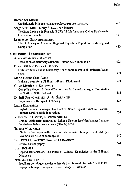| Roman SOSNOWSKI                                                                                          |     |
|----------------------------------------------------------------------------------------------------------|-----|
| Un dizionario bilingue italiano e polacco per uso scolastico                                             | 463 |
| Serge VERLINDE, Thierry SELVA, Jean BINON                                                                |     |
| The Base Lexicale du Français (BLF): A Multifunctional Online Database for<br><b>Learners of French</b>  | 471 |
| Luanne von SCHNEIDEMESSER                                                                                |     |
| The Dictionary of American Regional English: a Report on its Making and<br>Completion                    | 483 |
| 6. Bilingual Lexicography                                                                                |     |
| Arleta ADAMSKA-SAŁACIAK                                                                                  |     |
| Translation of dictionary examples - notoriously unreliable?                                             | 493 |
| Dino BRESSAN, Patrick GLENNAN                                                                            |     |
| L'Oxford Study Italian Dictionary (Osid) come esempio di lessicografia ses-                              |     |
| suata                                                                                                    | 503 |
| Marie-Hélène CORRÉARD                                                                                    |     |
| Is there a need for a US English-French Dictionary?                                                      | 509 |
| Gilles-Maurice DE SCHRYVER                                                                               |     |
| Compiling Modern Bilingual Dictionaries for Bantu Languages: Case studies<br>for Northern Sotho and Zulu | 515 |
|                                                                                                          |     |
| Dmitrij DOBROVOL'SKIJ, Artëm ŠARANDIN<br>Polysemy in a Bilingual Dictionary                              | 527 |
|                                                                                                          |     |
| Laura KARPINSKA<br>English-Latvian Lexicographic Practice: Some Typical Structural Features,             |     |
| Problems and Possible Innovations                                                                        | 537 |
| Vincenzo LO CASCIO, Elisabeth NIJPELS                                                                    |     |
| Grande Dizionario Elettronico Italiano-Neerlandese/Neerlandese-Italiano.                                 |     |
| Fondazione Italned Amstelveen (Olanda) 2005                                                              | 543 |
| Tatiana MILLIARESSI                                                                                      |     |
| L'information aspectuelle dans un dictionnaire bilingue explicatif (sur                                  |     |
| l'exemple du russe et du français)                                                                       | 549 |
| Pam PETERS, Jan TENT, Trinidad FERNANDEZ                                                                 |     |
| Critical Lexicography                                                                                    | 561 |
| <b>Liam RODGER</b>                                                                                       |     |
| Beyond Butterscotch. The Place of Cultural Knowledge in the Bilingual                                    |     |
| Dictionary                                                                                               | 567 |
| Natalya SHEVCHENKO                                                                                       |     |
| Problème de l'étiquetage des unités de bas niveau de formalité dans la lexi-                             | 575 |
| cographie bilingue Français-Russe et Français-Ukrainien                                                  |     |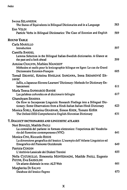| <b>Iwona SZLANSZOK</b><br>The Status of Equivalents in Bilingual Dictionaries and in a Language                                                                          | 583 |
|--------------------------------------------------------------------------------------------------------------------------------------------------------------------------|-----|
| Enn VELDI                                                                                                                                                                |     |
| Particle Verbs in Bilingual Dictionaries: The Case of Estonian and English                                                                                               | 589 |
| <b>ROUND TABLE</b>                                                                                                                                                       |     |
| Carla MARELLO<br>Introduction                                                                                                                                            | 597 |
| <b>Camilla BARDEL</b><br>Lemma Selection in the Bilingual Italian-Swedish dictionaries. A Glance at<br>the past and a look ahead                                         | 599 |
| Antoine CHALVIN, Mathieu MANGEOT<br>Méthodes et outils pour la lexicographie bilingue en ligne: Le cas du Grand<br>Dictionnaire Estonien-Français                        | 605 |
| Tomaž ERJAVEC, Kristina HMELJAK SANGAWA, Irena SRDANOVIĆ ER-<br><b>JAVEC</b>                                                                                             |     |
| JaSlo, a Japanese-Slovene Learners' Dictionary: Methods for Dictionary En-<br>hancement                                                                                  | 611 |
| María Teresa SANMARCO BANDE<br>Las palabras culturales en el diccionario bilingüe                                                                                        | 617 |
| Ghanshyam SHARMA<br>On How to Incorporate Linguistic Research Findings into a Bilingual Dic-<br>tionary: Some Observations from a Hindi-Italian Italian-Hindi Dictionary | 623 |
| Monica ŠORLI, Katarina GRABNAR, Simon KREK, Tomato KOŠIR<br>The Oxford-DZS Comprehensive English-Slovenian Dictionary                                                    | 631 |
| 7. DIALECT DICTIONARIES AND LINGUISTIC ATLASES                                                                                                                           |     |
| Neri BINAZZI, Matilde PAOLI<br>La centralità del parlante in formato elettronico: l'esperienza del Vocabola-<br>rio del fiorentino contemporaneo (VFC)                   | 641 |
| Monica CINI, Riccardo REGIS<br>La dimensione geografica del lessico: L'esempio dell'Atlante Linguistico ed<br>Etnografico del Piemonte Occidentale                       | 649 |
| Patrizia CORDIN<br>L'Archivio Lessicale dei Dialetti Trentini                                                                                                            | 655 |
| Nella CUCURULLO, Simonetta MONTEMAGNI, Matilde PAOLI, Eugenio<br>PICCHI, Eva SASSOLINI<br>Un atlante dialettale in rete: ALT-Web                                         | 661 |
| Margherita DI SALVO                                                                                                                                                      |     |
| Database del lessico flegreo                                                                                                                                             | 673 |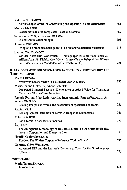| Katerina T. FRANTZI                                                                          |      |
|----------------------------------------------------------------------------------------------|------|
| A Folk Songs Corpus for Constructing and Updating Dialect Dictionaries                       | 681  |
| Monica MARZINI                                                                               |      |
| Lessicografia in aree complesse: il caso di Grosseto                                         | 689  |
| Salvatore RIOLO, Vincenzo FERRARA                                                            |      |
| Dialettismi in lessici bilingui                                                              | 701  |
| Antonio ROMANO<br>Ortografia e pronuncia nella genesi di un dizionario dialettale valsesiano | 713  |
| Eveline WANDL-VOGT                                                                           |      |
| Von der Karte zum Wörterbuch - Überlegungen zu einer räumlichen Zu-                          |      |
| griffsstruktur für Dialektwörterbücher dargestellt am Beispiel des Wörter-                   |      |
| buchs der bairischen Mundarten in Österreich (WBÖ)                                           | 721  |
| 8. LEXICOGRAPIIY FOR SPECIALISED LANGUAGES - TERMINOLOGY AND                                 |      |
| Terminography                                                                                |      |
| Marta CHROMÁ                                                                                 |      |
| Synonymy and Polysemy in a Bilingual Law Dictionary                                          | 735  |
| Marie-Jeanne DEROUIN, André LEMEUR                                                           |      |
| Integrated Bilingual Specialist Dictionaries as Added Value for Translation                  |      |
| Memories: The LexTerm Initiative                                                             | 743  |
| Pamela FABER, Pilar León ARAÚZ, Juan Antonio PRIETOVELASCO, Ari-                             |      |
| anne REIMERINK<br>Linking Images and Words: the description of specialized concepts1         | 751  |
| Ágota FÓRIS                                                                                  |      |
| Lexicographical Definition of Terms in Hungarian Dictionaries                                | 765. |
| Mārcis GASŪNS                                                                                |      |
| Latin Terms in Sanskrit Dictionaries                                                         | 773. |
| Age LIND                                                                                     |      |
| The Ambiguous Terminology of Business Entities: on the Quest for Equiva-                     |      |
| lence in Corporation and Enterprise Law                                                      | 779  |
| Henrik Køhler SIMONSEN                                                                       |      |
| ZooLex: The Wildest Corporate Reference Work in Town?                                        | 787  |
| Geoffrey Clive WILLIAMS                                                                      |      |
| Advanced ESP and the Learner's Dictionary: Tools for the Non-Language<br>Specialist          | 795  |
|                                                                                              |      |
| <b>ROUND TABLE</b>                                                                           |      |
| Maria Teresa ZANOLA                                                                          |      |
| Introduction                                                                                 | 805  |
|                                                                                              |      |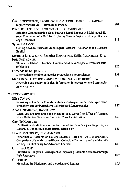| Úna BHREATHNACH, Caoilfhionn Nic PHÁIDÍN, Donla UÍ BHRAONÁIN<br>http://www.focal.ie - Terminology Project                                                                                                            | 807 |
|----------------------------------------------------------------------------------------------------------------------------------------------------------------------------------------------------------------------|-----|
| Peter DE BAER, Koen KERREMANS, Rita TEMMERMAN<br>Bridging Communication Gaps between Legal Experts in Multilingual Eu-<br>rope: Discussion of a Tool for Exploring Terminological and Legal Knowl-<br>edge Resources | 813 |
| <b>Sylvie DE COCK</b>                                                                                                                                                                                                |     |
| Getting down to Business: Monolingual Learners' Dictionaries and Business<br>English                                                                                                                                 | 819 |
| Maurella DELLA SETA, Federica NAPOLITANI, Scilla PIZZARELLI, Elisa-<br>betta POLTRONIERI                                                                                                                             |     |
| Thesaurus italiano di bioetica: Un esempio di lessico specializzato nel setto-<br>re bioetico                                                                                                                        | 825 |
| Fernande RUIZ QUEMOUN                                                                                                                                                                                                |     |
| L'hermétisme terminologique des protocoles en neurosciences                                                                                                                                                          | 831 |
| María Isabel TERCEDOR SÁNCHEZ, Clara Inés LÓPEZ RODRÍGUEZ<br>Retrieving and codifying lexical information in process oriented terminolo-<br>gy management                                                            | 837 |
| <b>9. DICTIONARY USE</b>                                                                                                                                                                                             |     |
| <b>Elisa CORINO</b>                                                                                                                                                                                                  |     |
| Schwierigkeiten beim Erwerb deutscher Partizipien in einsprachigen Wör-<br>terbüchern aus der Perspektive italienischer Muttersprachler                                                                              | 847 |
| Anna DZIEMIANKO, Robert LEW                                                                                                                                                                                          |     |
| When you are Explaining the Meaning of a Word: The Effect of Abstract<br>Noun Definition Format on Syntactic Class Identification                                                                                    | 857 |
| <b>Camille MARTINEZ</b>                                                                                                                                                                                              |     |
| L'utilisation du dictionnaire en tant qu'arbitre dans les jeux linguistiques<br>(Scrabble, Des chiffres et des lettres, Dicos d'or)                                                                                  | 865 |
| Don R. MCCREARY, Elise AMACKER                                                                                                                                                                                       |     |
| Experimental Research on College Students' Usage of Two Dictionaries: A<br>Comparison of the Merriam-Webster Collegiate Dictionary and the Macmil-<br>lan English Dictionary for Advanced Learners                   | 871 |
| Cristina ONESTI                                                                                                                                                                                                      |     |
| Preverbs in Hungarian Lexicography: Improving Example Sentences through<br><b>Web Resources</b>                                                                                                                      | 887 |
| Gill Philip                                                                                                                                                                                                          |     |
| Metaphor, the Dictionary, and the Advanced Learner                                                                                                                                                                   | 895 |
|                                                                                                                                                                                                                      |     |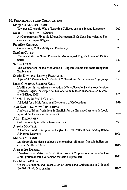| 10. Phraseology and Collocation                                                                                                                                                                                    |      |
|--------------------------------------------------------------------------------------------------------------------------------------------------------------------------------------------------------------------|------|
| Margarita ALONSO RAMOS<br>Towards a Dynamic Way of Learning Collocations in a Second Language                                                                                                                      | 909  |
| <b>Iovka BOJÍLOVA TCHOBÁNOVA</b><br>As Comparações Fixas Na Língua Portuguesa E Os Seus Equivalentes Fun-<br>cionais Na Língua Búlgara                                                                             | 923  |
| František ČERMÁK<br>Collocations, Collocability and Dictionary                                                                                                                                                     | 929  |
| <b>Stephen COFFEY</b><br>'Delexical Verb + Noun' Phrases in Monolingual English Learners' Dictio-<br>naries                                                                                                        | 939  |
| Szilvia CSÁBI<br>The Comparison of the Motivation of English Idioms and their Hungarian<br>Equivalents                                                                                                             | 951  |
| Sascha DIWERSY, Ludwig FESENMEIER<br>A (twofold) Contrastive Analysis of Collocations: Fr. patience - It. pazienza                                                                                                 | 959  |
| Luisa GIACOMA, Susanne KOLB<br>L'utilità dell'introduzione sistematica delle collocazioni nella voce lessico-<br>grafica bilingue. L'esempio del Dizionario di Tedesco (Giacoma-Kolb, Zani-<br>chelli-Klett, 2001) | 967  |
| Ulrich HEID, Rufus H. GOUWS<br>A Model for a Multifunctional Dictionary of Collocations                                                                                                                            | 979  |
| Kyo KAGEURA, Miwa TOYOSHIMA<br>Analysis of Idiom Variations in English for the Enhanced Automatic Look-<br>up of Idiom Entries in Dictionaries                                                                     | 989  |
| <b>Adam KILGARRIFF</b><br>Collocationality (and how to measure it)                                                                                                                                                 | 997  |
| Aurelia MARTELLI<br>A Corpus Based Description of English Lexical Collocations Used by Italian<br><b>Advanced Learners</b>                                                                                         | 1005 |
| Michela MURANO<br>La phraséologie dans quelques dictionnaires bilingues français-italien an-<br>ciens (16e-18e siècles)                                                                                            | 1013 |
| Alessandro PANUNZI<br>L'analisi corpus-driven delle strutture essere + Preposizione in italiano. Co-<br>strutti grammaticali e variazione marcata del predicato                                                    | 1021 |
| Paschalia PATSALA<br>On the Distinction and Presentation of Idioms and Collocations in Bilingual<br><b>English-Greek Dictionaries</b>                                                                              | 1029 |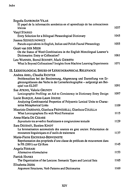| Begoña SANROMÁN VILAS<br>El papel de la información semántica en el aprendizaje de las colocaciones                                                                  |      |
|----------------------------------------------------------------------------------------------------------------------------------------------------------------------|------|
| léxicas                                                                                                                                                              | 1037 |
| <b>Vasyl STARKO</b><br>Entry Selection for a Bilingual Phraseological Dictionary                                                                                     | 1045 |
| Joanna Szerszunowicz<br>Pseudo-equivalents in English, Italian and Polish Faunal Phraseology                                                                         | 1055 |
| Geart van DER MEER<br>On the Status of Word Combinations in the English Monolingual Learner's<br>Dictionaries: Entry or Collocation?                                 | 1061 |
| Leo WANNER, Bernd BOHNET, Mark GIERETH<br>What Is Beyond Collocations? Insights from Machine Learning Experiments                                                    | 1071 |
| 11. LEXICOLOGICAL ISSUES OF LEXICOGRAPHICAL RELEVANCE                                                                                                                |      |
| Andrea ABEL, Claudia RICHTER                                                                                                                                         |      |
| Problematiken bei der Bestimmung, Abgrenzung und Darstellung von Er-<br>gänzungsklassen des Verbs in der Lernerlexikographie - aufgezeigt am Bei-<br>spiel von ELDIT | 1091 |
| Sue ATKINS, Valerie GRUNDY<br>Lexicographic Profiling: an Aid to Consistency in Dictionary Entry Design                                                              | 1097 |
| Lucie BARQUE, Anne-Laure JOUSSE<br>Analyzing Combinatorial Properties of Polysemic Lexical Units to Charac-<br>terize Metaphorical Links                             | 1109 |
| Maurizio DARDANO, Gianluca FRENGUELLI, Gianluca COLELLA<br>What Lexicographers Do with Word Formation                                                                | 1115 |
| Anna-Maria DE CESARE<br>Soprattutto tra avverbio focalizzante e congiunzione testuale                                                                                | 1129 |
| Sara DEODATI, Bastien KINDT                                                                                                                                          |      |
| La lemmatisation automatisée des sources en grec ancien: Présentation de<br>ressources linguistiques et d'outils de traitement                                       | 1137 |
| Marie-Pierre ESCOUBAS-BENVENISTE<br>Représentation des proprietés d'une classe de prédicats de mouvement dans<br>le PR (2001) sur Cd-Rom                             | 1145 |
| Angela FERRARI<br>Alternative riformulative                                                                                                                          | 1153 |
| Patrick HANKS<br>The Organization of the Lexicon: Semantic Types and Lexical Sets                                                                                    | 1165 |
| Elisabetta JEZEK<br>Argument Structures, Verb Patterns and Dictionaries                                                                                              | 1169 |
|                                                                                                                                                                      |      |